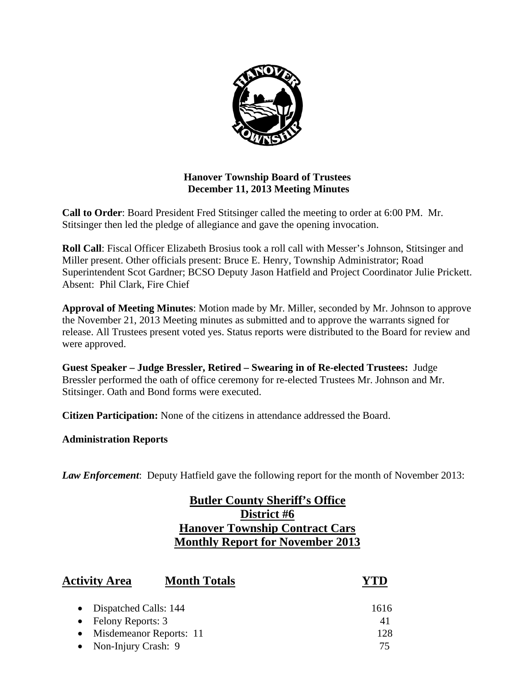

# **Hanover Township Board of Trustees December 11, 2013 Meeting Minutes**

**Call to Order**: Board President Fred Stitsinger called the meeting to order at 6:00 PM. Mr. Stitsinger then led the pledge of allegiance and gave the opening invocation.

**Roll Call**: Fiscal Officer Elizabeth Brosius took a roll call with Messer's Johnson, Stitsinger and Miller present. Other officials present: Bruce E. Henry, Township Administrator; Road Superintendent Scot Gardner; BCSO Deputy Jason Hatfield and Project Coordinator Julie Prickett. Absent: Phil Clark, Fire Chief

**Approval of Meeting Minutes**: Motion made by Mr. Miller, seconded by Mr. Johnson to approve the November 21, 2013 Meeting minutes as submitted and to approve the warrants signed for release. All Trustees present voted yes. Status reports were distributed to the Board for review and were approved.

**Guest Speaker – Judge Bressler, Retired – Swearing in of Re-elected Trustees:** Judge Bressler performed the oath of office ceremony for re-elected Trustees Mr. Johnson and Mr. Stitsinger. Oath and Bond forms were executed.

**Citizen Participation:** None of the citizens in attendance addressed the Board.

**Administration Reports** 

*Law Enforcement*: Deputy Hatfield gave the following report for the month of November 2013:

# **Butler County Sheriff's Office District #6 Hanover Township Contract Cars Monthly Report for November 2013**

| <b>Activity Area</b>                 | <b>Month Totals</b> |      |
|--------------------------------------|---------------------|------|
| • Dispatched Calls: 144              |                     | 1616 |
| • Felony Reports: $3$                |                     | 41   |
| Misdemeanor Reports: 11<br>$\bullet$ |                     | 128  |
| • Non-Injury Crash: 9                |                     | 75   |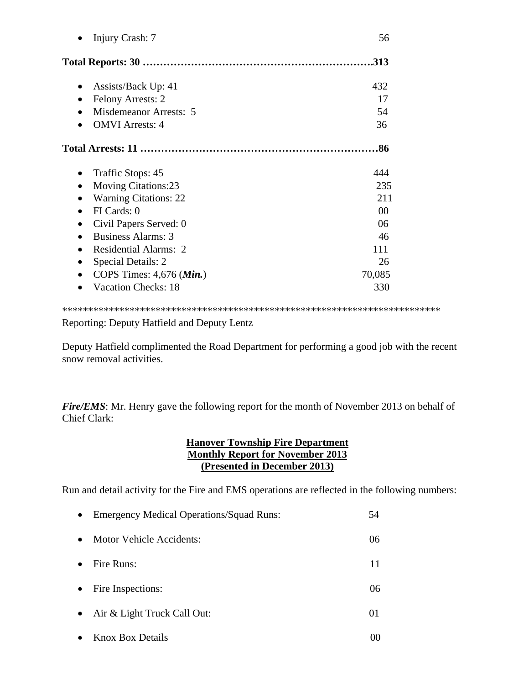| Injury Crash: 7              | 56             |
|------------------------------|----------------|
|                              | .313           |
| Assists/Back Up: 41          | 432            |
| <b>Felony Arrests: 2</b>     | 17             |
| Misdemeanor Arrests: 5       | 54             |
| <b>OMVI</b> Arrests: 4       | 36             |
|                              | .86            |
| Traffic Stops: 45            | 444            |
| <b>Moving Citations:23</b>   | 235            |
| <b>Warning Citations: 22</b> | 211            |
| FI Cards: 0                  | 0 <sup>0</sup> |
| Civil Papers Served: 0       | 06             |
| Business Alarms: 3           | 46             |
| <b>Residential Alarms: 2</b> | 111            |
| Special Details: 2           | 26             |
| COPS Times: 4,676 (Min.)     | 70,085         |
| <b>Vacation Checks: 18</b>   | 330            |
|                              |                |

Reporting: Deputy Hatfield and Deputy Lentz

Deputy Hatfield complimented the Road Department for performing a good job with the recent snow removal activities.

*Fire/EMS*: Mr. Henry gave the following report for the month of November 2013 on behalf of Chief Clark:

# **Hanover Township Fire Department Monthly Report for November 2013 (Presented in December 2013)**

Run and detail activity for the Fire and EMS operations are reflected in the following numbers:

| $\bullet$ | <b>Emergency Medical Operations/Squad Runs:</b> | 54 |
|-----------|-------------------------------------------------|----|
| $\bullet$ | <b>Motor Vehicle Accidents:</b>                 | 06 |
| $\bullet$ | Fire Runs:                                      | 11 |
| $\bullet$ | Fire Inspections:                               | 06 |
| $\bullet$ | Air & Light Truck Call Out:                     | 01 |
|           | • Knox Box Details                              |    |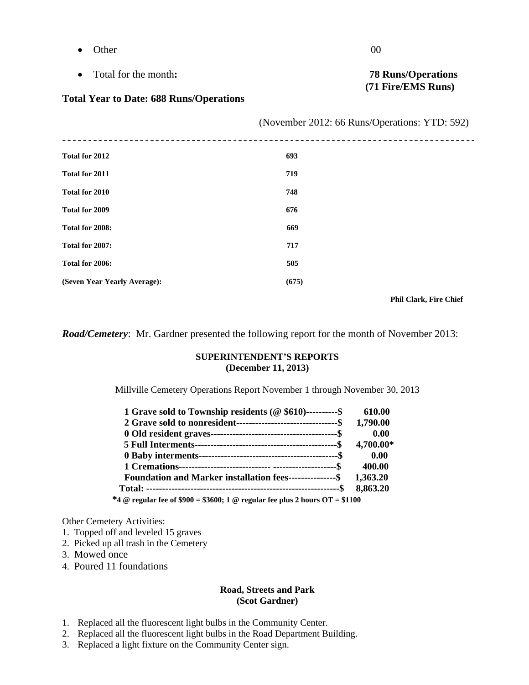- $\bullet$  Other 00
- Total for the month**: 78 Runs/Operations**

#### **Total Year to Date: 688 Runs/Operations**

|                              | (November 2012: 66 Runs/Operations: YTD: 592) |  |
|------------------------------|-----------------------------------------------|--|
| Total for 2012               | 693                                           |  |
| Total for 2011               | 719                                           |  |
| Total for 2010               | 748                                           |  |
| Total for 2009               | 676                                           |  |
| Total for 2008:              | 669                                           |  |
| Total for 2007:              | 717                                           |  |
| Total for 2006:              | 505                                           |  |
| (Seven Year Yearly Average): | (675)                                         |  |

 **Phil Clark, Fire Chief** 

*Road/Cemetery*: Mr. Gardner presented the following report for the month of November 2013:

#### **SUPERINTENDENT'S REPORTS (December 11, 2013)**

Millville Cemetery Operations Report November 1 through November 30, 2013

| 1 Grave sold to Township residents (@ \$610)----------\$                     | 610.00    |
|------------------------------------------------------------------------------|-----------|
|                                                                              | 1,790.00  |
|                                                                              | 0.00      |
|                                                                              | 4,700.00* |
|                                                                              | 0.00      |
|                                                                              | 400.00    |
| Foundation and Marker installation fees---------------\$ 1,363.20            |           |
|                                                                              | 8,863.20  |
| *4 @ regular fee of \$900 = \$3600; 1 @ regular fee plus 2 hours OT = \$1100 |           |

Other Cemetery Activities:

- 1. Topped off and leveled 15 graves
- 2. Picked up all trash in the Cemetery
- 3. Mowed once
- 4. Poured 11 foundations

#### **Road, Streets and Park (Scot Gardner)**

- 1. Replaced all the fluorescent light bulbs in the Community Center.
- 2. Replaced all the fluorescent light bulbs in the Road Department Building.
- 3. Replaced a light fixture on the Community Center sign.

# **(71 Fire/EMS Runs)**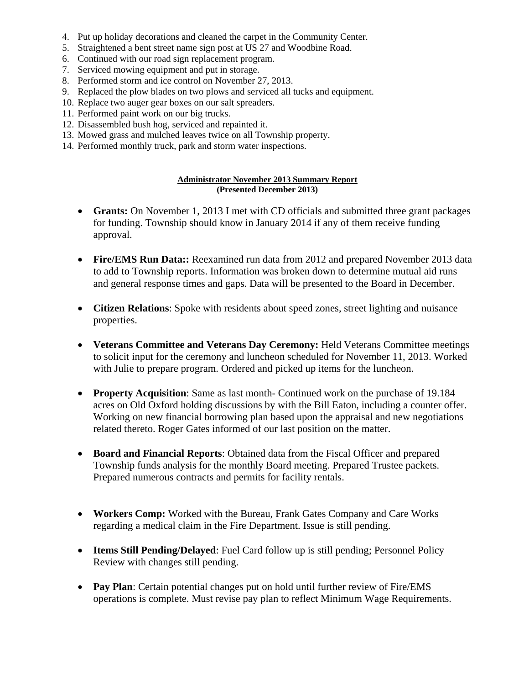- 4. Put up holiday decorations and cleaned the carpet in the Community Center.
- 5. Straightened a bent street name sign post at US 27 and Woodbine Road.
- 6. Continued with our road sign replacement program.
- 7. Serviced mowing equipment and put in storage.
- 8. Performed storm and ice control on November 27, 2013.
- 9. Replaced the plow blades on two plows and serviced all tucks and equipment.
- 10. Replace two auger gear boxes on our salt spreaders.
- 11. Performed paint work on our big trucks.
- 12. Disassembled bush hog, serviced and repainted it.
- 13. Mowed grass and mulched leaves twice on all Township property.
- 14. Performed monthly truck, park and storm water inspections.

#### **Administrator November 2013 Summary Report (Presented December 2013)**

- **Grants:** On November 1, 2013 I met with CD officials and submitted three grant packages for funding. Township should know in January 2014 if any of them receive funding approval.
- **Fire/EMS Run Data::** Reexamined run data from 2012 and prepared November 2013 data to add to Township reports. Information was broken down to determine mutual aid runs and general response times and gaps. Data will be presented to the Board in December.
- **Citizen Relations**: Spoke with residents about speed zones, street lighting and nuisance properties.
- **Veterans Committee and Veterans Day Ceremony:** Held Veterans Committee meetings to solicit input for the ceremony and luncheon scheduled for November 11, 2013. Worked with Julie to prepare program. Ordered and picked up items for the luncheon.
- **Property Acquisition**: Same as last month- Continued work on the purchase of 19.184 acres on Old Oxford holding discussions by with the Bill Eaton, including a counter offer. Working on new financial borrowing plan based upon the appraisal and new negotiations related thereto. Roger Gates informed of our last position on the matter.
- **Board and Financial Reports**: Obtained data from the Fiscal Officer and prepared Township funds analysis for the monthly Board meeting. Prepared Trustee packets. Prepared numerous contracts and permits for facility rentals.
- **Workers Comp:** Worked with the Bureau, Frank Gates Company and Care Works regarding a medical claim in the Fire Department. Issue is still pending.
- **Items Still Pending/Delayed**: Fuel Card follow up is still pending; Personnel Policy Review with changes still pending.
- **Pay Plan**: Certain potential changes put on hold until further review of Fire/EMS operations is complete. Must revise pay plan to reflect Minimum Wage Requirements.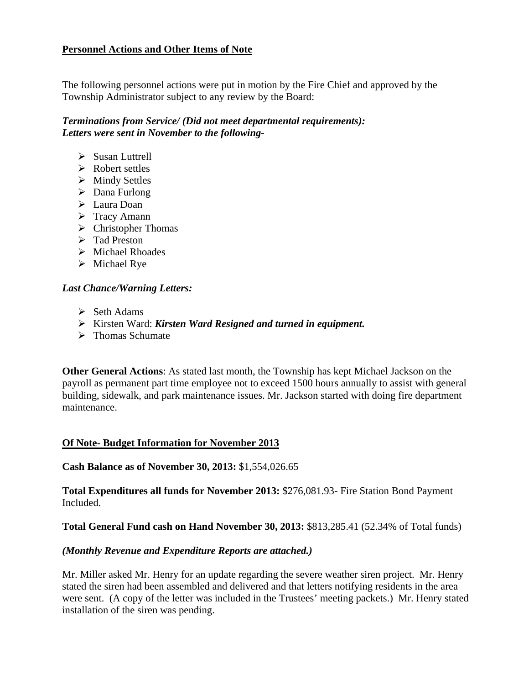# **Personnel Actions and Other Items of Note**

The following personnel actions were put in motion by the Fire Chief and approved by the Township Administrator subject to any review by the Board:

# *Terminations from Service/ (Did not meet departmental requirements): Letters were sent in November to the following-*

- $\triangleright$  Susan Luttrell
- $\triangleright$  Robert settles
- $\triangleright$  Mindy Settles
- $\triangleright$  Dana Furlong
- > Laura Doan
- $\triangleright$  Tracy Amann
- $\triangleright$  Christopher Thomas
- > Tad Preston
- $\triangleright$  Michael Rhoades
- $\triangleright$  Michael Rye

# *Last Chance/Warning Letters:*

- $\triangleright$  Seth Adams
- Kirsten Ward: *Kirsten Ward Resigned and turned in equipment.*
- $\triangleright$  Thomas Schumate

**Other General Actions**: As stated last month, the Township has kept Michael Jackson on the payroll as permanent part time employee not to exceed 1500 hours annually to assist with general building, sidewalk, and park maintenance issues. Mr. Jackson started with doing fire department maintenance.

# **Of Note- Budget Information for November 2013**

**Cash Balance as of November 30, 2013:** \$1,554,026.65

**Total Expenditures all funds for November 2013:** \$276,081.93- Fire Station Bond Payment Included.

# **Total General Fund cash on Hand November 30, 2013:** \$813,285.41 (52.34% of Total funds)

# *(Monthly Revenue and Expenditure Reports are attached.)*

Mr. Miller asked Mr. Henry for an update regarding the severe weather siren project. Mr. Henry stated the siren had been assembled and delivered and that letters notifying residents in the area were sent. (A copy of the letter was included in the Trustees' meeting packets.) Mr. Henry stated installation of the siren was pending.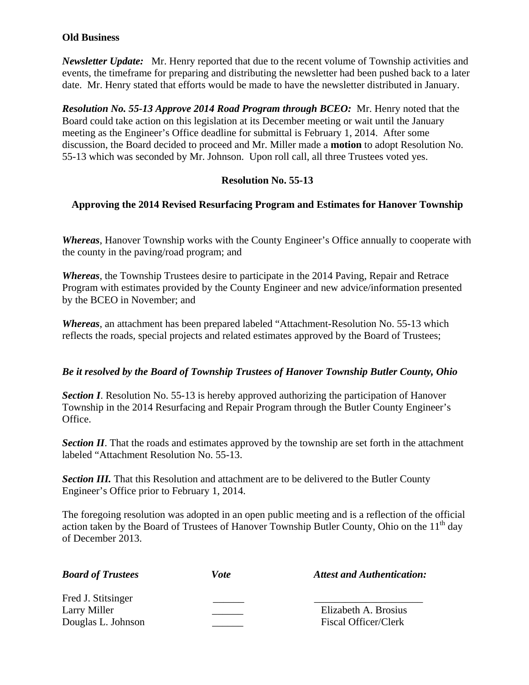#### **Old Business**

*Newsletter Update:* Mr. Henry reported that due to the recent volume of Township activities and events, the timeframe for preparing and distributing the newsletter had been pushed back to a later date. Mr. Henry stated that efforts would be made to have the newsletter distributed in January.

*Resolution No. 55-13 Approve 2014 Road Program through BCEO:* Mr. Henry noted that the Board could take action on this legislation at its December meeting or wait until the January meeting as the Engineer's Office deadline for submittal is February 1, 2014. After some discussion, the Board decided to proceed and Mr. Miller made a **motion** to adopt Resolution No. 55-13 which was seconded by Mr. Johnson. Upon roll call, all three Trustees voted yes.

#### **Resolution No. 55-13**

#### **Approving the 2014 Revised Resurfacing Program and Estimates for Hanover Township**

*Whereas*, Hanover Township works with the County Engineer's Office annually to cooperate with the county in the paving/road program; and

*Whereas*, the Township Trustees desire to participate in the 2014 Paving, Repair and Retrace Program with estimates provided by the County Engineer and new advice/information presented by the BCEO in November; and

*Whereas*, an attachment has been prepared labeled "Attachment-Resolution No. 55-13 which reflects the roads, special projects and related estimates approved by the Board of Trustees;

#### *Be it resolved by the Board of Township Trustees of Hanover Township Butler County, Ohio*

*Section I*. Resolution No. 55-13 is hereby approved authorizing the participation of Hanover Township in the 2014 Resurfacing and Repair Program through the Butler County Engineer's Office.

**Section II.** That the roads and estimates approved by the township are set forth in the attachment labeled "Attachment Resolution No. 55-13.

*Section III.* That this Resolution and attachment are to be delivered to the Butler County Engineer's Office prior to February 1, 2014.

The foregoing resolution was adopted in an open public meeting and is a reflection of the official action taken by the Board of Trustees of Hanover Township Butler County, Ohio on the  $11<sup>th</sup>$  day of December 2013.

| <b>Board of Trustees</b> | Vote | <b>Attest and Authentication:</b> |
|--------------------------|------|-----------------------------------|
| Fred J. Stitsinger       |      |                                   |
| Larry Miller             |      | Elizabeth A. Brosius              |
| Douglas L. Johnson       |      | <b>Fiscal Officer/Clerk</b>       |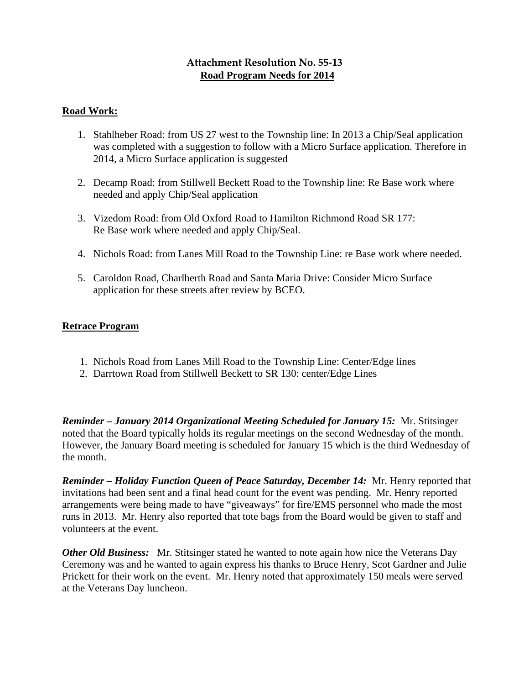# **Attachment Resolution No. 55‐13 Road Program Needs for 2014**

# **Road Work:**

- 1. Stahlheber Road: from US 27 west to the Township line: In 2013 a Chip/Seal application was completed with a suggestion to follow with a Micro Surface application. Therefore in 2014, a Micro Surface application is suggested
- 2. Decamp Road: from Stillwell Beckett Road to the Township line: Re Base work where needed and apply Chip/Seal application
- 3. Vizedom Road: from Old Oxford Road to Hamilton Richmond Road SR 177: Re Base work where needed and apply Chip/Seal.
- 4. Nichols Road: from Lanes Mill Road to the Township Line: re Base work where needed.
- 5. Caroldon Road, Charlberth Road and Santa Maria Drive: Consider Micro Surface application for these streets after review by BCEO.

# **Retrace Program**

- 1. Nichols Road from Lanes Mill Road to the Township Line: Center/Edge lines
- 2. Darrtown Road from Stillwell Beckett to SR 130: center/Edge Lines

*Reminder – January 2014 Organizational Meeting Scheduled for January 15:* Mr. Stitsinger noted that the Board typically holds its regular meetings on the second Wednesday of the month. However, the January Board meeting is scheduled for January 15 which is the third Wednesday of the month.

*Reminder – Holiday Function Queen of Peace Saturday, December 14:* Mr. Henry reported that invitations had been sent and a final head count for the event was pending. Mr. Henry reported arrangements were being made to have "giveaways" for fire/EMS personnel who made the most runs in 2013. Mr. Henry also reported that tote bags from the Board would be given to staff and volunteers at the event.

*Other Old Business:* Mr. Stitsinger stated he wanted to note again how nice the Veterans Day Ceremony was and he wanted to again express his thanks to Bruce Henry, Scot Gardner and Julie Prickett for their work on the event. Mr. Henry noted that approximately 150 meals were served at the Veterans Day luncheon.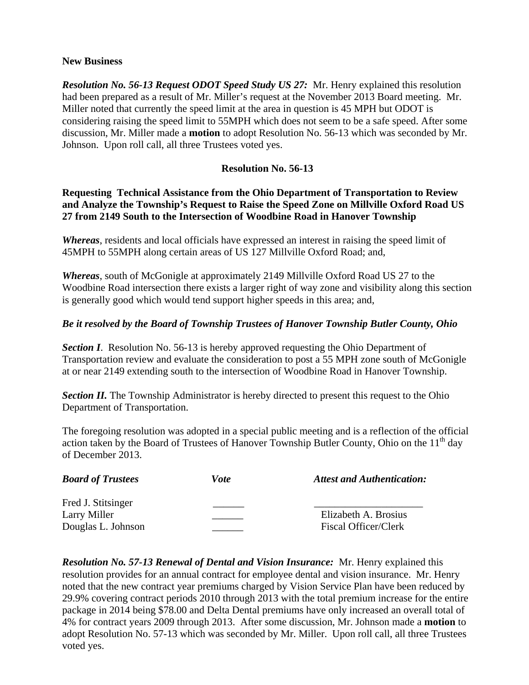#### **New Business**

*Resolution No. 56-13 Request ODOT Speed Study US 27:* Mr. Henry explained this resolution had been prepared as a result of Mr. Miller's request at the November 2013 Board meeting. Mr. Miller noted that currently the speed limit at the area in question is 45 MPH but ODOT is considering raising the speed limit to 55MPH which does not seem to be a safe speed. After some discussion, Mr. Miller made a **motion** to adopt Resolution No. 56-13 which was seconded by Mr. Johnson. Upon roll call, all three Trustees voted yes.

## **Resolution No. 56-13**

# **Requesting Technical Assistance from the Ohio Department of Transportation to Review and Analyze the Township's Request to Raise the Speed Zone on Millville Oxford Road US 27 from 2149 South to the Intersection of Woodbine Road in Hanover Township**

*Whereas*, residents and local officials have expressed an interest in raising the speed limit of 45MPH to 55MPH along certain areas of US 127 Millville Oxford Road; and,

*Whereas*, south of McGonigle at approximately 2149 Millville Oxford Road US 27 to the Woodbine Road intersection there exists a larger right of way zone and visibility along this section is generally good which would tend support higher speeds in this area; and,

#### *Be it resolved by the Board of Township Trustees of Hanover Township Butler County, Ohio*

**Section I.** Resolution No. 56-13 is hereby approved requesting the Ohio Department of Transportation review and evaluate the consideration to post a 55 MPH zone south of McGonigle at or near 2149 extending south to the intersection of Woodbine Road in Hanover Township.

**Section II.** The Township Administrator is hereby directed to present this request to the Ohio Department of Transportation.

The foregoing resolution was adopted in a special public meeting and is a reflection of the official action taken by the Board of Trustees of Hanover Township Butler County, Ohio on the  $11<sup>th</sup>$  day of December 2013.

| <b>Board of Trustees</b> | Vote | <b>Attest and Authentication:</b> |
|--------------------------|------|-----------------------------------|
| Fred J. Stitsinger       |      |                                   |
| Larry Miller             |      | Elizabeth A. Brosius              |
| Douglas L. Johnson       |      | Fiscal Officer/Clerk              |

*Resolution No. 57-13 Renewal of Dental and Vision Insurance:* Mr. Henry explained this resolution provides for an annual contract for employee dental and vision insurance. Mr. Henry noted that the new contract year premiums charged by Vision Service Plan have been reduced by 29.9% covering contract periods 2010 through 2013 with the total premium increase for the entire package in 2014 being \$78.00 and Delta Dental premiums have only increased an overall total of 4% for contract years 2009 through 2013. After some discussion, Mr. Johnson made a **motion** to adopt Resolution No. 57-13 which was seconded by Mr. Miller. Upon roll call, all three Trustees voted yes.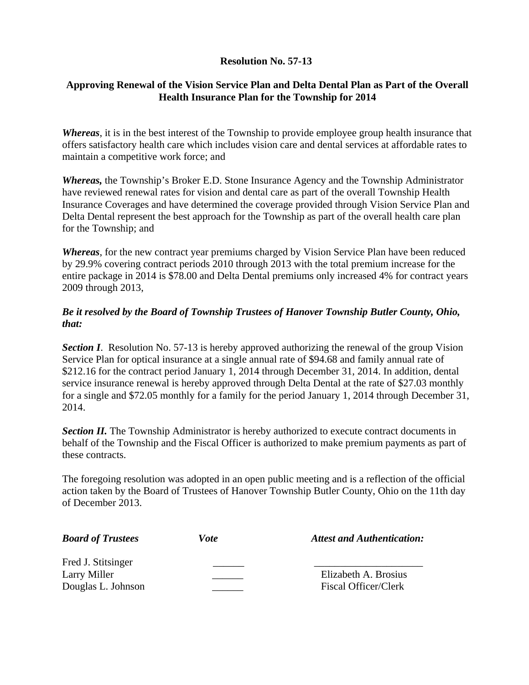# **Resolution No. 57-13**

# **Approving Renewal of the Vision Service Plan and Delta Dental Plan as Part of the Overall Health Insurance Plan for the Township for 2014**

*Whereas*, it is in the best interest of the Township to provide employee group health insurance that offers satisfactory health care which includes vision care and dental services at affordable rates to maintain a competitive work force; and

*Whereas,* the Township's Broker E.D. Stone Insurance Agency and the Township Administrator have reviewed renewal rates for vision and dental care as part of the overall Township Health Insurance Coverages and have determined the coverage provided through Vision Service Plan and Delta Dental represent the best approach for the Township as part of the overall health care plan for the Township; and

*Whereas*, for the new contract year premiums charged by Vision Service Plan have been reduced by 29.9% covering contract periods 2010 through 2013 with the total premium increase for the entire package in 2014 is \$78.00 and Delta Dental premiums only increased 4% for contract years 2009 through 2013,

# *Be it resolved by the Board of Township Trustees of Hanover Township Butler County, Ohio, that:*

**Section I.** Resolution No. 57-13 is hereby approved authorizing the renewal of the group Vision Service Plan for optical insurance at a single annual rate of \$94.68 and family annual rate of \$212.16 for the contract period January 1, 2014 through December 31, 2014. In addition, dental service insurance renewal is hereby approved through Delta Dental at the rate of \$27.03 monthly for a single and \$72.05 monthly for a family for the period January 1, 2014 through December 31, 2014.

**Section II.** The Township Administrator is hereby authorized to execute contract documents in behalf of the Township and the Fiscal Officer is authorized to make premium payments as part of these contracts.

The foregoing resolution was adopted in an open public meeting and is a reflection of the official action taken by the Board of Trustees of Hanover Township Butler County, Ohio on the 11th day of December 2013.

| <b>Board of Trustees</b> | Vote | <b>Attest and Authentication:</b> |
|--------------------------|------|-----------------------------------|
| Fred J. Stitsinger       |      |                                   |
| Larry Miller             |      | Elizabeth A. Brosius              |
| Douglas L. Johnson       |      | Fiscal Officer/Clerk              |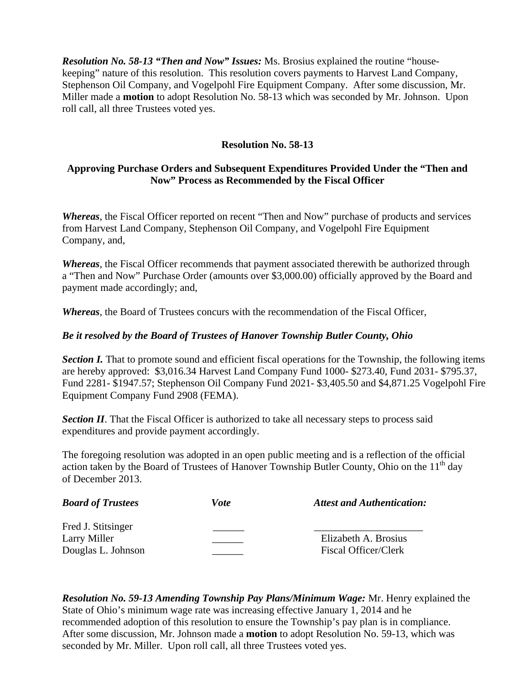*Resolution No. 58-13 "Then and Now" Issues:* Ms. Brosius explained the routine "housekeeping" nature of this resolution. This resolution covers payments to Harvest Land Company, Stephenson Oil Company, and Vogelpohl Fire Equipment Company. After some discussion, Mr. Miller made a **motion** to adopt Resolution No. 58-13 which was seconded by Mr. Johnson. Upon roll call, all three Trustees voted yes.

# **Resolution No. 58-13**

# **Approving Purchase Orders and Subsequent Expenditures Provided Under the "Then and Now" Process as Recommended by the Fiscal Officer**

*Whereas*, the Fiscal Officer reported on recent "Then and Now" purchase of products and services from Harvest Land Company, Stephenson Oil Company, and Vogelpohl Fire Equipment Company, and,

*Whereas*, the Fiscal Officer recommends that payment associated therewith be authorized through a "Then and Now" Purchase Order (amounts over \$3,000.00) officially approved by the Board and payment made accordingly; and,

*Whereas*, the Board of Trustees concurs with the recommendation of the Fiscal Officer,

# *Be it resolved by the Board of Trustees of Hanover Township Butler County, Ohio*

*Section I.* That to promote sound and efficient fiscal operations for the Township, the following items are hereby approved: \$3,016.34 Harvest Land Company Fund 1000- \$273.40, Fund 2031- \$795.37, Fund 2281- \$1947.57; Stephenson Oil Company Fund 2021- \$3,405.50 and \$4,871.25 Vogelpohl Fire Equipment Company Fund 2908 (FEMA).

**Section II.** That the Fiscal Officer is authorized to take all necessary steps to process said expenditures and provide payment accordingly.

The foregoing resolution was adopted in an open public meeting and is a reflection of the official action taken by the Board of Trustees of Hanover Township Butler County, Ohio on the  $11<sup>th</sup>$  day of December 2013.

| <b>Board of Trustees</b> | Vote | <b>Attest and Authentication:</b> |
|--------------------------|------|-----------------------------------|
| Fred J. Stitsinger       |      |                                   |
| Larry Miller             |      | Elizabeth A. Brosius              |
| Douglas L. Johnson       |      | Fiscal Officer/Clerk              |

*Resolution No. 59-13 Amending Township Pay Plans/Minimum Wage:* Mr. Henry explained the State of Ohio's minimum wage rate was increasing effective January 1, 2014 and he recommended adoption of this resolution to ensure the Township's pay plan is in compliance. After some discussion, Mr. Johnson made a **motion** to adopt Resolution No. 59-13, which was seconded by Mr. Miller. Upon roll call, all three Trustees voted yes.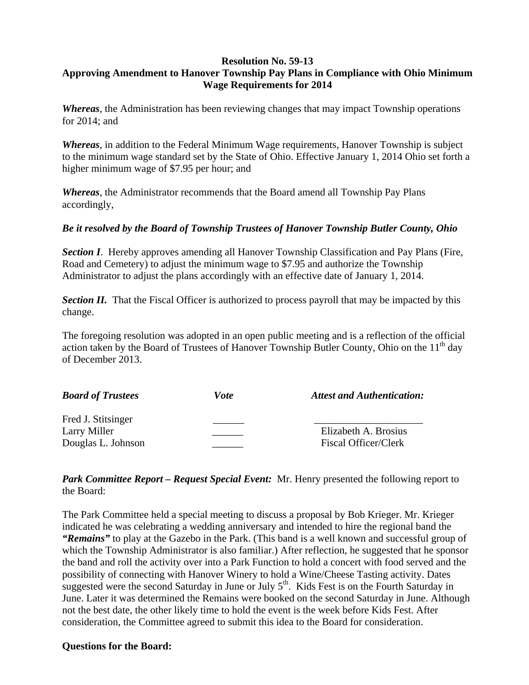#### **Resolution No. 59-13 Approving Amendment to Hanover Township Pay Plans in Compliance with Ohio Minimum Wage Requirements for 2014**

*Whereas*, the Administration has been reviewing changes that may impact Township operations for 2014; and

*Whereas*, in addition to the Federal Minimum Wage requirements, Hanover Township is subject to the minimum wage standard set by the State of Ohio. Effective January 1, 2014 Ohio set forth a higher minimum wage of \$7.95 per hour; and

*Whereas*, the Administrator recommends that the Board amend all Township Pay Plans accordingly,

#### *Be it resolved by the Board of Township Trustees of Hanover Township Butler County, Ohio*

**Section I.** Hereby approves amending all Hanover Township Classification and Pay Plans (Fire, Road and Cemetery) to adjust the minimum wage to \$7.95 and authorize the Township Administrator to adjust the plans accordingly with an effective date of January 1, 2014.

**Section II.** That the Fiscal Officer is authorized to process payroll that may be impacted by this change.

The foregoing resolution was adopted in an open public meeting and is a reflection of the official action taken by the Board of Trustees of Hanover Township Butler County, Ohio on the  $11<sup>th</sup>$  day of December 2013.

| <b>Board of Trustees</b> | Vote | <b>Attest and Authentication:</b> |
|--------------------------|------|-----------------------------------|
| Fred J. Stitsinger       |      |                                   |
| Larry Miller             |      | Elizabeth A. Brosius              |
| Douglas L. Johnson       |      | Fiscal Officer/Clerk              |

*Park Committee Report – Request Special Event:* Mr. Henry presented the following report to the Board:

The Park Committee held a special meeting to discuss a proposal by Bob Krieger. Mr. Krieger indicated he was celebrating a wedding anniversary and intended to hire the regional band the *"Remains"* to play at the Gazebo in the Park. (This band is a well known and successful group of which the Township Administrator is also familiar.) After reflection, he suggested that he sponsor the band and roll the activity over into a Park Function to hold a concert with food served and the possibility of connecting with Hanover Winery to hold a Wine/Cheese Tasting activity. Dates suggested were the second Saturday in June or July  $5<sup>th</sup>$ . Kids Fest is on the Fourth Saturday in June. Later it was determined the Remains were booked on the second Saturday in June. Although not the best date, the other likely time to hold the event is the week before Kids Fest. After consideration, the Committee agreed to submit this idea to the Board for consideration.

#### **Questions for the Board:**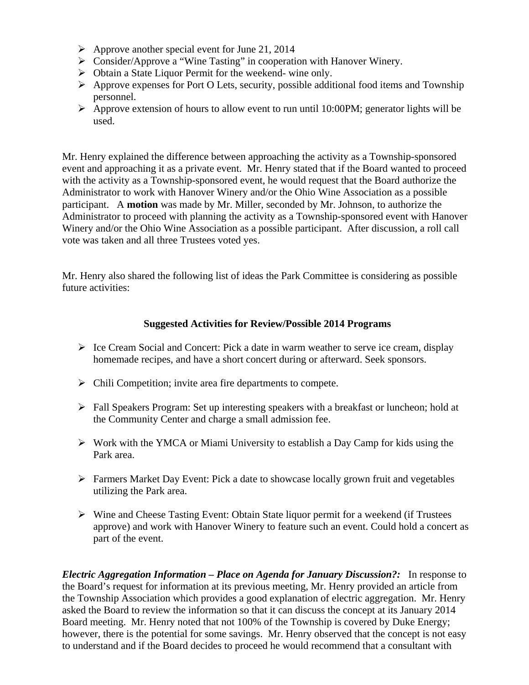- $\triangleright$  Approve another special event for June 21, 2014
- Consider/Approve a "Wine Tasting" in cooperation with Hanover Winery.
- Obtain a State Liquor Permit for the weekend- wine only.
- $\triangleright$  Approve expenses for Port O Lets, security, possible additional food items and Township personnel.
- $\triangleright$  Approve extension of hours to allow event to run until 10:00PM; generator lights will be used.

Mr. Henry explained the difference between approaching the activity as a Township-sponsored event and approaching it as a private event. Mr. Henry stated that if the Board wanted to proceed with the activity as a Township-sponsored event, he would request that the Board authorize the Administrator to work with Hanover Winery and/or the Ohio Wine Association as a possible participant. A **motion** was made by Mr. Miller, seconded by Mr. Johnson, to authorize the Administrator to proceed with planning the activity as a Township-sponsored event with Hanover Winery and/or the Ohio Wine Association as a possible participant. After discussion, a roll call vote was taken and all three Trustees voted yes.

Mr. Henry also shared the following list of ideas the Park Committee is considering as possible future activities:

# **Suggested Activities for Review/Possible 2014 Programs**

- $\triangleright$  Ice Cream Social and Concert: Pick a date in warm weather to serve ice cream, display homemade recipes, and have a short concert during or afterward. Seek sponsors.
- $\triangleright$  Chili Competition; invite area fire departments to compete.
- $\triangleright$  Fall Speakers Program: Set up interesting speakers with a breakfast or luncheon; hold at the Community Center and charge a small admission fee.
- $\triangleright$  Work with the YMCA or Miami University to establish a Day Camp for kids using the Park area.
- Farmers Market Day Event: Pick a date to showcase locally grown fruit and vegetables utilizing the Park area.
- Wine and Cheese Tasting Event: Obtain State liquor permit for a weekend (if Trustees approve) and work with Hanover Winery to feature such an event. Could hold a concert as part of the event.

*Electric Aggregation Information – Place on Agenda for January Discussion?:* In response to the Board's request for information at its previous meeting, Mr. Henry provided an article from the Township Association which provides a good explanation of electric aggregation. Mr. Henry asked the Board to review the information so that it can discuss the concept at its January 2014 Board meeting. Mr. Henry noted that not 100% of the Township is covered by Duke Energy; however, there is the potential for some savings. Mr. Henry observed that the concept is not easy to understand and if the Board decides to proceed he would recommend that a consultant with